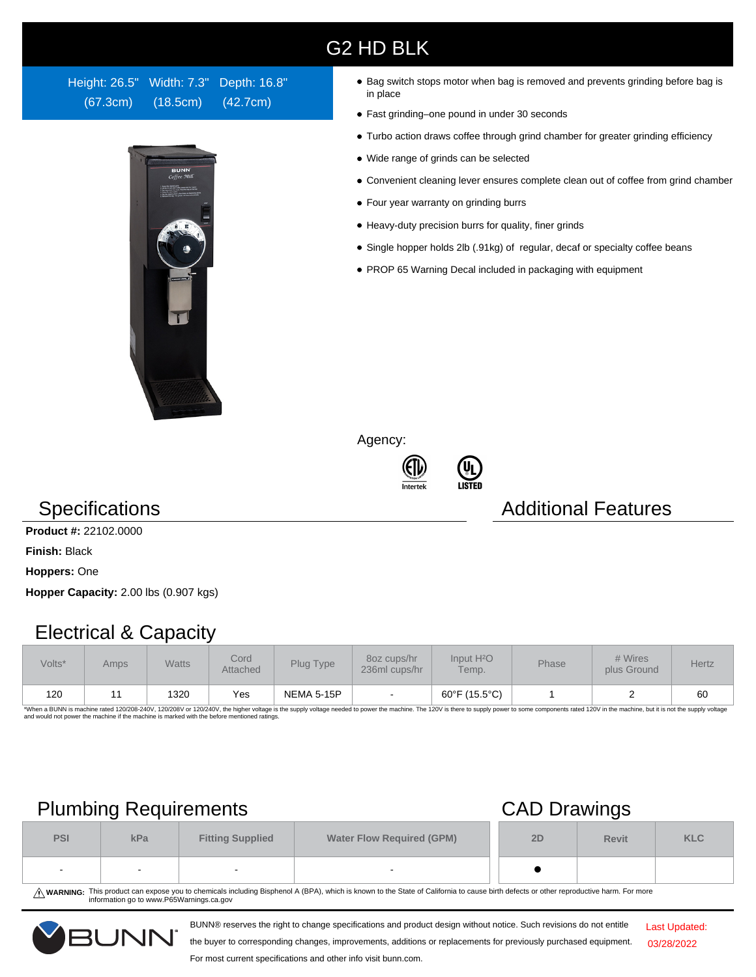# G2 HD BLK

Height: 26.5" Width: 7.3" Depth: 16.8" (67.3cm) (18.5cm) (42.7cm)



- Bag switch stops motor when bag is removed and prevents grinding before bag is in place
- Fast grinding–one pound in under 30 seconds
- Turbo action draws coffee through grind chamber for greater grinding efficiency
- Wide range of grinds can be selected
- Convenient cleaning lever ensures complete clean out of coffee from grind chamber
- Four year warranty on grinding burrs
- Heavy-duty precision burrs for quality, finer grinds
- Single hopper holds 2lb (.91kg) of regular, decaf or specialty coffee beans
- PROP 65 Warning Decal included in packaging with equipment

Agency:





## Specifications **Additional Features** Additional Features

**Product #:** 22102.0000

**Finish:** Black

**Hoppers:** One

**Hopper Capacity:** 2.00 lbs (0.907 kgs)

## Electrical & Capacity

| Volts* | Amps | Watts | Cord<br>Attached | Plug Type  | 80z cups/hr<br>236ml cups/hr | Input H <sup>2</sup> O<br>Temp. | <b>Phase</b> | # Wires<br>plus Ground | Hertz |
|--------|------|-------|------------------|------------|------------------------------|---------------------------------|--------------|------------------------|-------|
| 120    |      | 1320  | Yes              | NEMA 5-15P | $\,$                         | 60°F (15.5°C)                   |              |                        | 60    |

\*When a BUNN is machine rated 120/208-240V, 120/208V or 120/240V, the higher voltage is the supply voltage needed to power the machine. The 120V is there to supply power to some components rated 120V in the machine, but it

# Plumbing Requirements CAD Drawings

| <b>PSI</b>               | kPa | <b>Fitting Supplied</b> | <b>Water Flow Required (GPM)</b> | 2D | <b>Revit</b> | <b>KLC</b> |
|--------------------------|-----|-------------------------|----------------------------------|----|--------------|------------|
| $\overline{\phantom{a}}$ |     |                         | $\overline{\phantom{a}}$         |    |              |            |

WARNING: This product can expose you to chemicals including Bisphenol A (BPA), which is known to the State of California to cause birth defects or other reproductive harm. For more<br>information go to www.P65Warnings.ca.gov

BUNN® reserves the right to change specifications and product design without notice. Such revisions do not entitle

Last Updated: 03/28/2022

the buyer to corresponding changes, improvements, additions or replacements for previously purchased equipment.

### For most current specifications and other info visit bunn.com.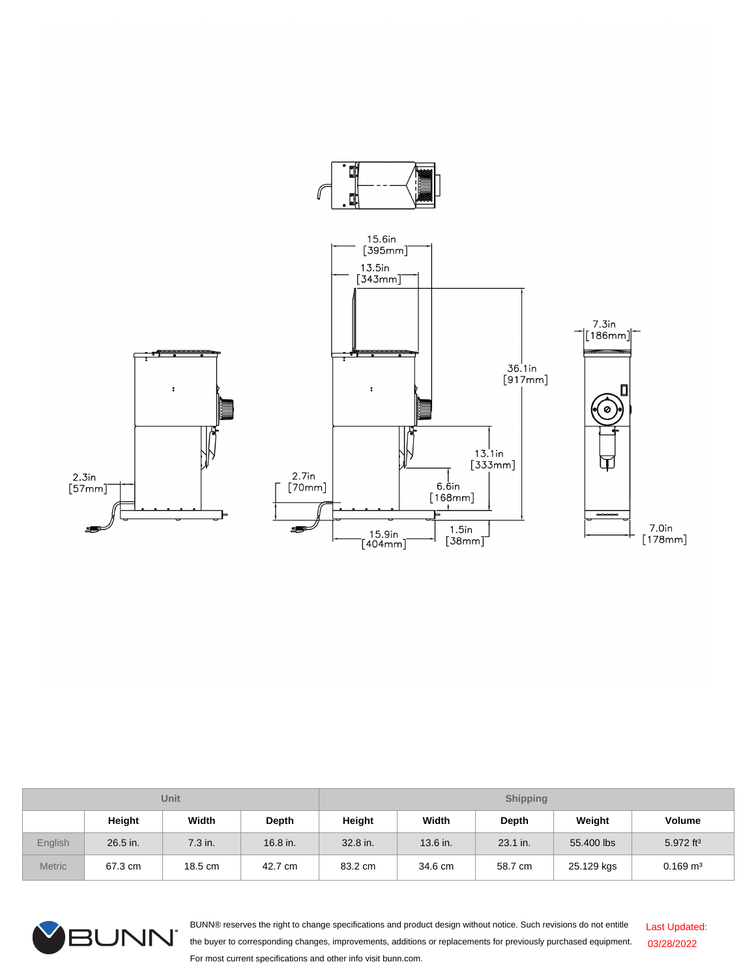

| Unit           |          |         |            | <b>Shipping</b> |          |              |            |                         |  |
|----------------|----------|---------|------------|-----------------|----------|--------------|------------|-------------------------|--|
|                | Height   | Width   | Depth      | Height          | Width    | <b>Depth</b> | Weight     | <b>Volume</b>           |  |
| <b>English</b> | 26.5 in. | 7.3 in. | $16.8$ in. | 32.8 in.        | 13.6 in. | 23.1 in.     | 55.400 lbs | $5.972$ ft <sup>3</sup> |  |
| <b>Metric</b>  | 67.3 cm  | 18.5 cm | 42.7 cm    | 83.2 cm         | 34.6 cm  | 58.7 cm      | 25.129 kgs | $0.169 \text{ m}^3$     |  |



BUNN® reserves the right to change specifications and product design without notice. Such revisions do not entitle the buyer to corresponding changes, improvements, additions or replacements for previously purchased equipment. For most current specifications and other info visit bunn.com. Last Updated: 03/28/2022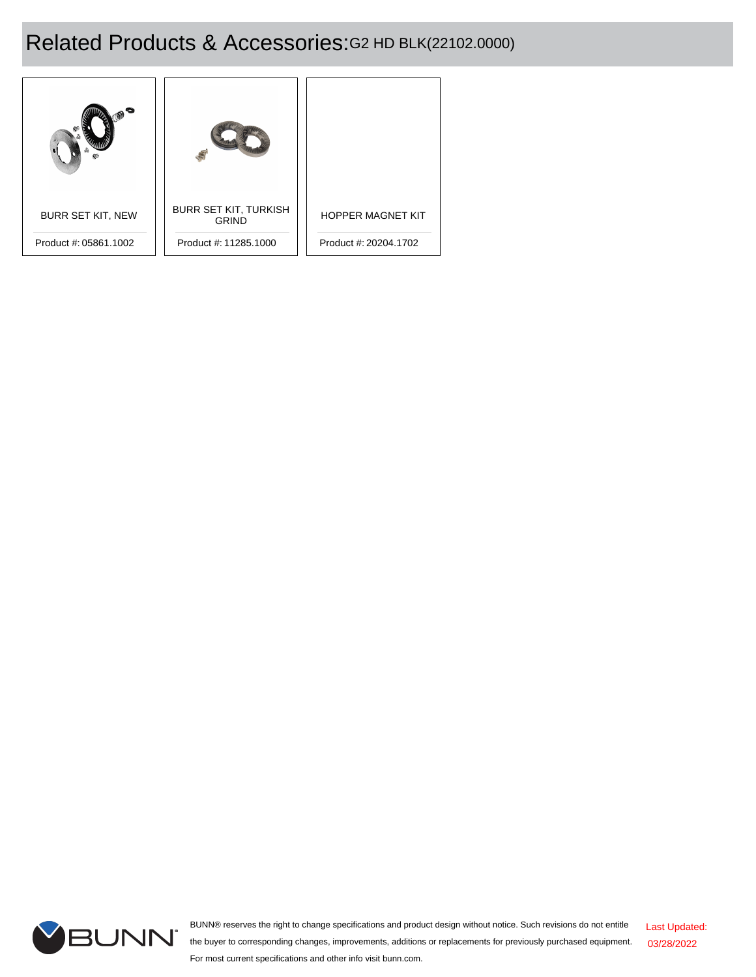# Related Products & Accessories:G2 HD BLK(22102.0000)